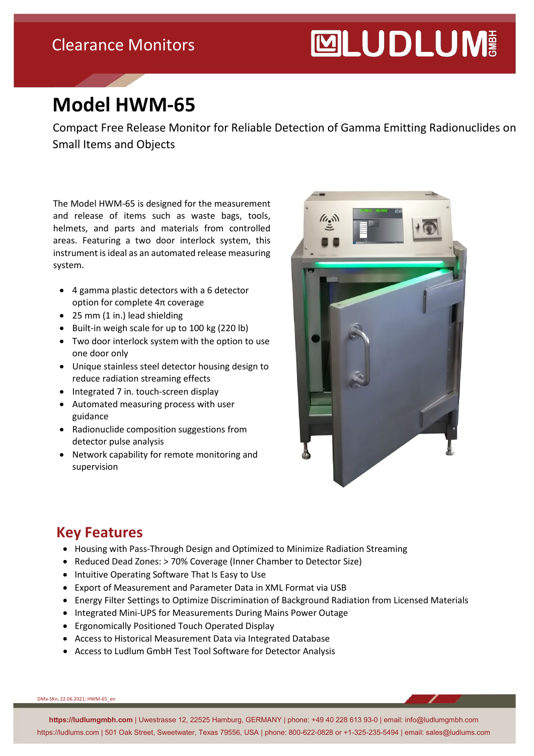### Clearance Monitors

# **MUDLUM**

## **Model HWM-65**

Compact Free Release Monitor for Reliable Detection of Gamma Emitting Radionuclides on Small Items and Objects

The Model HWM-65 is designed for the measurement and release of items such as waste bags, tools, helmets, and parts and materials from controlled areas. Featuring a two door interlock system, this instrument is ideal as an automated release measuring system.

- 4 gamma plastic detectors with a 6 detector option for complete 4π coverage
- 25 mm (1 in.) lead shielding
- Built-in weigh scale for up to 100 kg (220 lb)
- Two door interlock system with the option to use one door only
- Unique stainless steel detector housing design to reduce radiation streaming effects
- Integrated 7 in. touch-screen display
- Automated measuring process with user guidance
- Radionuclide composition suggestions from detector pulse analysis
- Network capability for remote monitoring and supervision



#### **Key Features**

- Housing with Pass-Through Design and Optimized to Minimize Radiation Streaming
- Reduced Dead Zones: > 70% Coverage (Inner Chamber to Detector Size)
- Intuitive Operating Software That Is Easy to Use
- Export of Measurement and Parameter Data in XML Format via USB
- Energy Filter Settings to Optimize Discrimination of Background Radiation from Licensed Materials
- Integrated Mini-UPS for Measurements During Mains Power Outage
- Ergonomically Positioned Touch Operated Display
- Access to Historical Measurement Data via Integrated Database
- Access to Ludlum GmbH Test Tool Software for Detector Analysis

DMa-SKn; 22.06.2021; HWM-65\_en

**https://ludlumgmbh.com** | Uwestrasse 12, 22525 Hamburg, GERMANY | phone: +49 40 228 613 93-0 | email: info@ludlumgmbh.com https://ludlums.com | 501 Oak Street, Sweetwater, Texas 79556, USA | phone: 800-622-0828 or +1-325-235-5494 | email: sales@ludlums.com